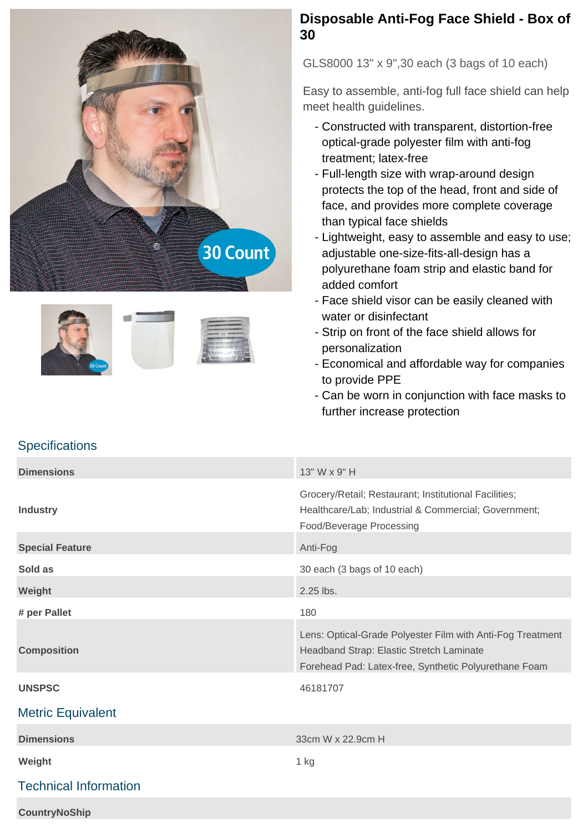





## **Disposable Anti-Fog Face Shield - Box of 30**

GLS8000 13" x 9",30 each (3 bags of 10 each)

Easy to assemble, anti-fog full face shield can help meet health guidelines.

- Constructed with transparent, distortion-free optical-grade polyester film with anti-fog treatment; latex-free
- Full-length size with wrap-around design protects the top of the head, front and side of face, and provides more complete coverage than typical face shields
- Lightweight, easy to assemble and easy to use; adjustable one-size-fits-all-design has a polyurethane foam strip and elastic band for added comfort
- Face shield visor can be easily cleaned with water or disinfectant
- Strip on front of the face shield allows for personalization
- Economical and affordable way for companies to provide PPE
- Can be worn in conjunction with face masks to further increase protection

## **Specifications**

| <b>Dimensions</b>            | 13" W x 9" H                                                                                                                                                    |
|------------------------------|-----------------------------------------------------------------------------------------------------------------------------------------------------------------|
| <b>Industry</b>              | Grocery/Retail; Restaurant; Institutional Facilities;<br>Healthcare/Lab; Industrial & Commercial; Government;<br>Food/Beverage Processing                       |
| <b>Special Feature</b>       | Anti-Fog                                                                                                                                                        |
| Sold as                      | 30 each (3 bags of 10 each)                                                                                                                                     |
| Weight                       | 2.25 lbs.                                                                                                                                                       |
| # per Pallet                 | 180                                                                                                                                                             |
| <b>Composition</b>           | Lens: Optical-Grade Polyester Film with Anti-Fog Treatment<br>Headband Strap: Elastic Stretch Laminate<br>Forehead Pad: Latex-free, Synthetic Polyurethane Foam |
| <b>UNSPSC</b>                | 46181707                                                                                                                                                        |
| <b>Metric Equivalent</b>     |                                                                                                                                                                 |
| <b>Dimensions</b>            | 33cm W x 22.9cm H                                                                                                                                               |
| Weight                       | 1 kg                                                                                                                                                            |
| <b>Technical Information</b> |                                                                                                                                                                 |
| <b>CountryNoShip</b>         |                                                                                                                                                                 |